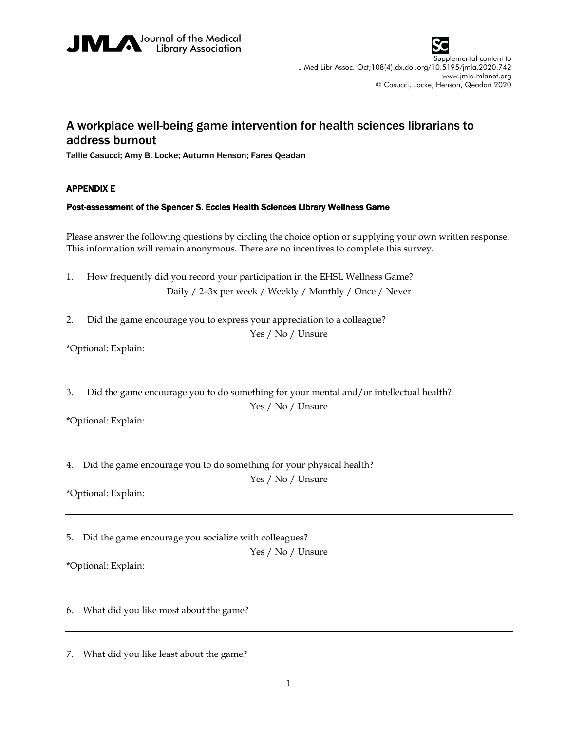



Supplemental content to J Med Libr Assoc. Oct;108(4):dx.doi.org/10.5195/jmla.2020.742 www.jmla.mlanet.org © Casucci, Locke, Henson, Qeadan 2020

## A workplace well-being game intervention for health sciences librarians to address burnout

Tallie Casucci; Amy B. Locke; Autumn Henson; Fares Qeadan

## APPENDIX E

## Post-assessment of the Spencer S. Eccles Health Sciences Library Wellness Game

Please answer the following questions by circling the choice option or supplying your own written response. This information will remain anonymous. There are no incentives to complete this survey.

- 1. How frequently did you record your participation in the EHSL Wellness Game? Daily / 2–3x per week / Weekly / Monthly / Once / Never
- 2. Did the game encourage you to express your appreciation to a colleague?

Yes / No / Unsure

\*Optional: Explain:

3. Did the game encourage you to do something for your mental and/or intellectual health? Yes / No / Unsure

\*Optional: Explain:

4. Did the game encourage you to do something for your physical health?

Yes / No / Unsure

\*Optional: Explain:

5. Did the game encourage you socialize with colleagues?

Yes / No / Unsure

\*Optional: Explain:

6. What did you like most about the game?

7. What did you like least about the game?